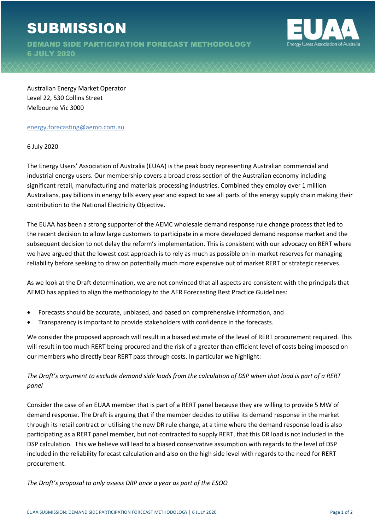DEMAND SIDE PARTICIPATION FORECAST METHODOLOGY 6 JULY 2020



Australian Energy Market Operator Level 22, 530 Collins Street Melbourne Vic 3000

## energy.forecasting@aemo.com.au

6 July 2020

The Energy Users' Association of Australia (EUAA) is the peak body representing Australian commercial and industrial energy users. Our membership covers a broad cross section of the Australian economy including significant retail, manufacturing and materials processing industries. Combined they employ over 1 million Australians, pay billions in energy bills every year and expect to see all parts of the energy supply chain making their contribution to the National Electricity Objective.

The EUAA has been a strong supporter of the AEMC wholesale demand response rule change process that led to the recent decision to allow large customers to participate in a more developed demand response market and the subsequent decision to not delay the reform's implementation. This is consistent with our advocacy on RERT where we have argued that the lowest cost approach is to rely as much as possible on in-market reserves for managing reliability before seeking to draw on potentially much more expensive out of market RERT or strategic reserves.

As we look at the Draft determination, we are not convinced that all aspects are consistent with the principals that AEMO has applied to align the methodology to the AER Forecasting Best Practice Guidelines:

- Forecasts should be accurate, unbiased, and based on comprehensive information, and
- Transparency is important to provide stakeholders with confidence in the forecasts.

We consider the proposed approach will result in a biased estimate of the level of RERT procurement required. This will result in too much RERT being procured and the risk of a greater than efficient level of costs being imposed on our members who directly bear RERT pass through costs. In particular we highlight:

## *The Draft's argument to exclude demand side loads from the calculation of DSP when that load is part of a RERT panel*

Consider the case of an EUAA member that is part of a RERT panel because they are willing to provide 5 MW of demand response. The Draft is arguing that if the member decides to utilise its demand response in the market through its retail contract or utilising the new DR rule change, at a time where the demand response load is also participating as a RERT panel member, but not contracted to supply RERT, that this DR load is not included in the DSP calculation. This we believe will lead to a biased conservative assumption with regards to the level of DSP included in the reliability forecast calculation and also on the high side level with regards to the need for RERT procurement.

*The Draft's proposal to only assess DRP once a year as part of the ESOO*